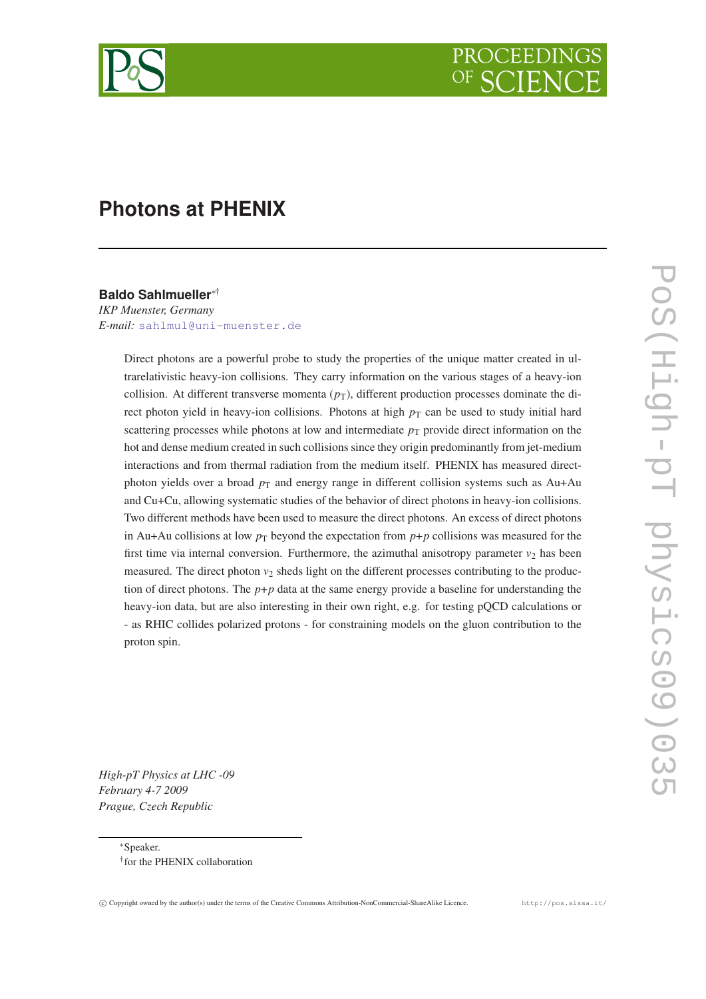

# **Photons at PHENIX**

# **Baldo Sahlmueller**∗†

*IKP Muenster, Germany E-mail:* [sahlmul@uni-muenster.de](mailto:sahlmul@uni-muenster.de)

> Direct photons are a powerful probe to study the properties of the unique matter created in ultrarelativistic heavy-ion collisions. They carry information on the various stages of a heavy-ion collision. At different transverse momenta ( $p<sub>T</sub>$ ), different production processes dominate the direct photon yield in heavy-ion collisions. Photons at high  $p<sub>T</sub>$  can be used to study initial hard scattering processes while photons at low and intermediate  $p<sub>T</sub>$  provide direct information on the hot and dense medium created in such collisions since they origin predominantly from jet-medium interactions and from thermal radiation from the medium itself. PHENIX has measured directphoton yields over a broad  $p<sub>T</sub>$  and energy range in different collision systems such as Au+Au and Cu+Cu, allowing systematic studies of the behavior of direct photons in heavy-ion collisions. Two different methods have been used to measure the direct photons. An excess of direct photons in Au+Au collisions at low  $p<sub>T</sub>$  beyond the expectation from  $p+p$  collisions was measured for the first time via internal conversion. Furthermore, the azimuthal anisotropy parameter  $v_2$  has been measured. The direct photon  $v_2$  sheds light on the different processes contributing to the production of direct photons. The  $p+p$  data at the same energy provide a baseline for understanding the heavy-ion data, but are also interesting in their own right, e.g. for testing pQCD calculations or - as RHIC collides polarized protons - for constraining models on the gluon contribution to the proton spin.

POS(60 SPISANO LONSICS00) PoS(High-pT physics09)035

*High-pT Physics at LHC -09 February 4-7 2009 Prague, Czech Republic*

> <sup>∗</sup>Speaker. † for the PHENIX collaboration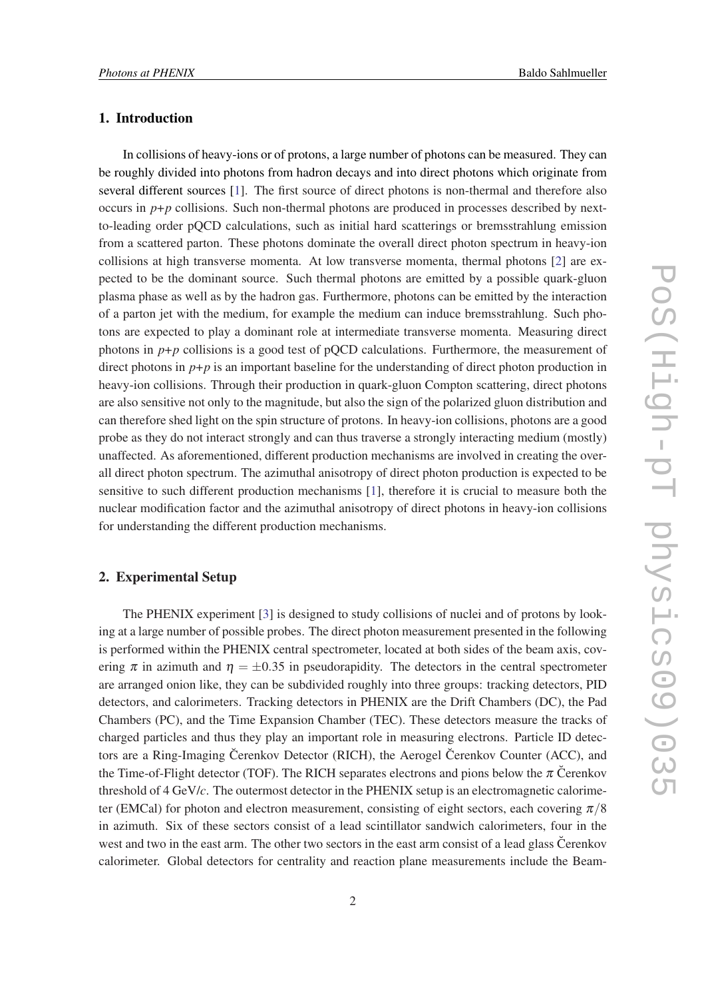# 1. Introduction

In collisions of heavy-ions or of protons, a large number of photons can be measured. They can be roughly divided into photons from hadron decays and into direct photons which originate from several different sources [\[1\]](#page-7-0). The first source of direct photons is non-thermal and therefore also occurs in  $p+p$  collisions. Such non-thermal photons are produced in processes described by nextto-leading order pQCD calculations, such as initial hard scatterings or bremsstrahlung emission from a scattered parton. These photons dominate the overall direct photon spectrum in heavy-ion collisions at high transverse momenta. At low transverse momenta, thermal photons [\[2\]](#page-7-0) are expected to be the dominant source. Such thermal photons are emitted by a possible quark-gluon plasma phase as well as by the hadron gas. Furthermore, photons can be emitted by the interaction of a parton jet with the medium, for example the medium can induce bremsstrahlung. Such photons are expected to play a dominant role at intermediate transverse momenta. Measuring direct photons in  $p+p$  collisions is a good test of pQCD calculations. Furthermore, the measurement of direct photons in  $p+p$  is an important baseline for the understanding of direct photon production in heavy-ion collisions. Through their production in quark-gluon Compton scattering, direct photons are also sensitive not only to the magnitude, but also the sign of the polarized gluon distribution and can therefore shed light on the spin structure of protons. In heavy-ion collisions, photons are a good probe as they do not interact strongly and can thus traverse a strongly interacting medium (mostly) unaffected. As aforementioned, different production mechanisms are involved in creating the overall direct photon spectrum. The azimuthal anisotropy of direct photon production is expected to be sensitive to such different production mechanisms [\[1\]](#page-7-0), therefore it is crucial to measure both the nuclear modification factor and the azimuthal anisotropy of direct photons in heavy-ion collisions for understanding the different production mechanisms.

# 2. Experimental Setup

The PHENIX experiment [[3](#page-7-0)] is designed to study collisions of nuclei and of protons by looking at a large number of possible probes. The direct photon measurement presented in the following is performed within the PHENIX central spectrometer, located at both sides of the beam axis, covering  $\pi$  in azimuth and  $\eta = \pm 0.35$  in pseudorapidity. The detectors in the central spectrometer are arranged onion like, they can be subdivided roughly into three groups: tracking detectors, PID detectors, and calorimeters. Tracking detectors in PHENIX are the Drift Chambers (DC), the Pad Chambers (PC), and the Time Expansion Chamber (TEC). These detectors measure the tracks of charged particles and thus they play an important role in measuring electrons. Particle ID detectors are a Ring-Imaging Čerenkov Detector (RICH), the Aerogel Čerenkov Counter (ACC), and the Time-of-Flight detector (TOF). The RICH separates electrons and pions below the  $\pi$  Cerenkov threshold of 4 GeV/*c*. The outermost detector in the PHENIX setup is an electromagnetic calorimeter (EMCal) for photon and electron measurement, consisting of eight sectors, each covering  $\pi/8$ in azimuth. Six of these sectors consist of a lead scintillator sandwich calorimeters, four in the west and two in the east arm. The other two sectors in the east arm consist of a lead glass Cerenkov calorimeter. Global detectors for centrality and reaction plane measurements include the Beam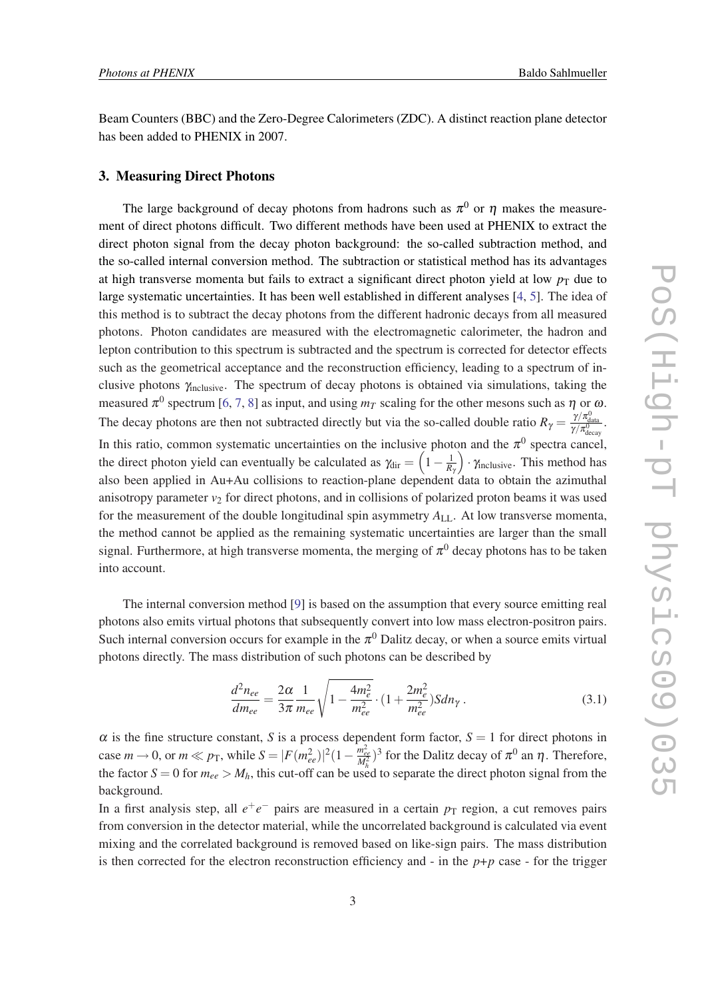Beam Counters (BBC) and the Zero-Degree Calorimeters (ZDC). A distinct reaction plane detector has been added to PHENIX in 2007.

## 3. Measuring Direct Photons

The large background of decay photons from hadrons such as  $\pi^0$  or  $\eta$  makes the measurement of direct photons difficult. Two different methods have been used at PHENIX to extract the direct photon signal from the decay photon background: the so-called subtraction method, and the so-called internal conversion method. The subtraction or statistical method has its advantages at high transverse momenta but fails to extract a significant direct photon yield at low  $p_T$  due to large systematic uncertainties. It has been well established in different analyses [[4](#page-7-0), [5](#page-7-0)]. The idea of this method is to subtract the decay photons from the different hadronic decays from all measured photons. Photon candidates are measured with the electromagnetic calorimeter, the hadron and lepton contribution to this spectrum is subtracted and the spectrum is corrected for detector effects such as the geometrical acceptance and the reconstruction efficiency, leading to a spectrum of inclusive photons γinclusive. The spectrum of decay photons is obtained via simulations, taking the measured  $\pi^0$  spectrum [[6](#page-7-0), [7,](#page-7-0) [8](#page-7-0)] as input, and using  $m_T$  scaling for the other mesons such as  $\eta$  or  $\omega$ . The decay photons are then not subtracted directly but via the so-called double ratio  $R_{\gamma} = \frac{\gamma/\pi_{\text{data}}^0}{\gamma/\pi_{\text{decay}}^0}$ . In this ratio, common systematic uncertainties on the inclusive photon and the  $\pi^0$  spectra cancel, the direct photon yield can eventually be calculated as  $\gamma_{\text{dir}} = \left(1 - \frac{1}{R_1}\right)$  $\cdot \gamma_{\text{inclusive}}$ . This method has also been applied in Au+Au collisions to reaction-plane dependent data to obtain the azimuthal anisotropy parameter  $v_2$  for direct photons, and in collisions of polarized proton beams it was used for the measurement of the double longitudinal spin asymmetry  $A_{\text{LL}}$ . At low transverse momenta, the method cannot be applied as the remaining systematic uncertainties are larger than the small signal. Furthermore, at high transverse momenta, the merging of  $\pi^0$  decay photons has to be taken into account.

The internal conversion method [\[9\]](#page-7-0) is based on the assumption that every source emitting real photons also emits virtual photons that subsequently convert into low mass electron-positron pairs. Such internal conversion occurs for example in the  $\pi^0$  Dalitz decay, or when a source emits virtual photons directly. The mass distribution of such photons can be described by

$$
\frac{d^2 n_{ee}}{dm_{ee}} = \frac{2\alpha}{3\pi} \frac{1}{m_{ee}} \sqrt{1 - \frac{4m_e^2}{m_{ee}^2}} \cdot (1 + \frac{2m_e^2}{m_{ee}^2}) Sdn_\gamma \,. \tag{3.1}
$$

 $\alpha$  is the fine structure constant, *S* is a process dependent form factor,  $S = 1$  for direct photons in case  $m \to 0$ , or  $m \ll p_{\rm T}$ , while  $S = |F(m_{ee}^2)|^2 (1 - \frac{m_{ee}^2}{M_b^2})^3$  for the Dalitz decay of  $\pi^0$  an  $\eta$ . Therefore, the factor  $S = 0$  for  $m_{ee} > M_h$ , this cut-off can be used to separate the direct photon signal from the background.

In a first analysis step, all  $e^+e^-$  pairs are measured in a certain  $p_T$  region, a cut removes pairs from conversion in the detector material, while the uncorrelated background is calculated via event mixing and the correlated background is removed based on like-sign pairs. The mass distribution is then corrected for the electron reconstruction efficiency and  $\overline{\cdot}$  in the  $p+p$  case  $\overline{\cdot}$  for the trigger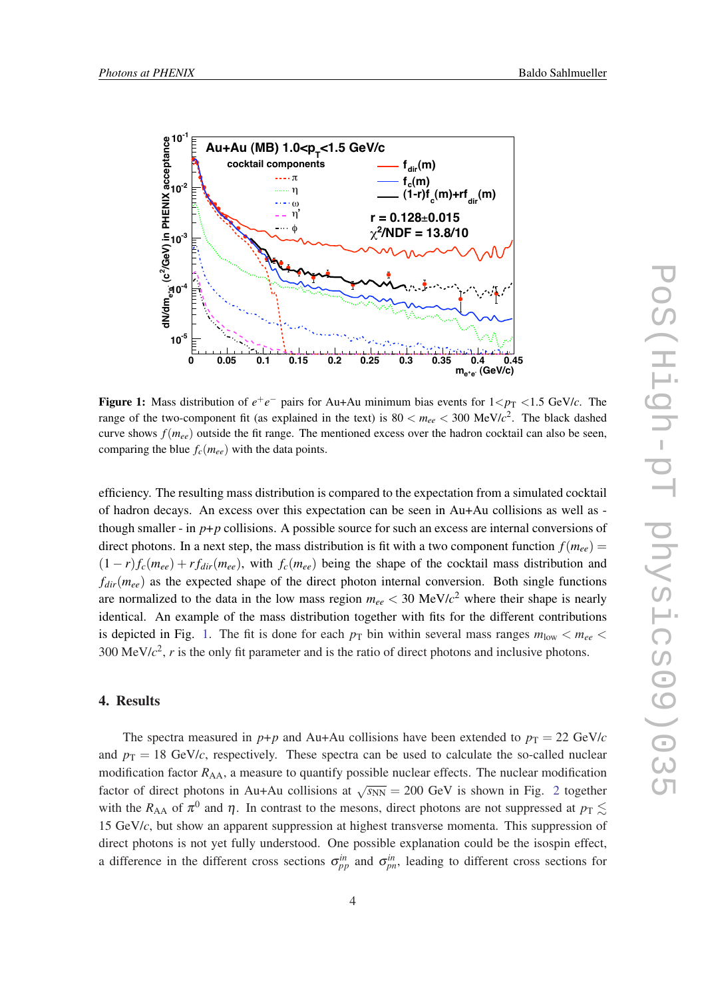

Figure 1: Mass distribution of  $e^+e^-$  pairs for Au+Au minimum bias events for  $1 < p<sub>T</sub> < 1.5$  GeV/*c*. The range of the two-component fit (as explained in the text) is  $80 < m_{ee} < 300 \text{ MeV}/c^2$ . The black dashed curve shows  $f(m_{ee})$  outside the fit range. The mentioned excess over the hadron cocktail can also be seen, comparing the blue  $f_c(m_{ee})$  with the data points.

efficiency. The resulting mass distribution is compared to the expectation from a simulated cocktail of hadron decays. An excess over this expectation can be seen in Au+Au collisions as well as though smaller - in  $p+p$  collisions. A possible source for such an excess are internal conversions of direct photons. In a next step, the mass distribution is fit with a two component function  $f(m_{ee}) =$  $(1 - r)f_c(m_{ee}) + rf_{dir}(m_{ee}),$  with  $f_c(m_{ee})$  being the shape of the cocktail mass distribution and  $f_{dir}(m_{ee})$  as the expected shape of the direct photon internal conversion. Both single functions are normalized to the data in the low mass region  $m_{ee} < 30 \text{ MeV}/c^2$  where their shape is nearly identical. An example of the mass distribution together with fits for the different contributions is depicted in Fig. 1. The fit is done for each  $p<sub>T</sub>$  bin within several mass ranges  $m<sub>low</sub> < m<sub>ee</sub>$ 300 MeV/*c* 2 , *r* is the only fit parameter and is the ratio of direct photons and inclusive photons.

#### 4. Results

The spectra measured in  $p+p$  and Au+Au collisions have been extended to  $p_T = 22 \text{ GeV}/c$ and  $p_T = 18$  GeV/*c*, respectively. These spectra can be used to calculate the so-called nuclear modification factor  $R_{AA}$ , a measure to quantify possible nuclear effects. The nuclear modification factor of direct photons in Au+Au collisions at  $\sqrt{s_{NN}} = 200$  $\sqrt{s_{NN}} = 200$  $\sqrt{s_{NN}} = 200$  GeV is shown in Fig. 2 together with the  $R_{AA}$  of  $\pi^0$  and  $\eta$ . In contrast to the mesons, direct photons are not suppressed at  $p_T \lesssim$ 15 GeV/*c*, but show an apparent suppression at highest transverse momenta. This suppression of direct photons is not yet fully understood. One possible explanation could be the isospin effect, a difference in the different cross sections  $\sigma_{pp}^{in}$  and  $\sigma_{pn}^{in}$ , leading to different cross sections for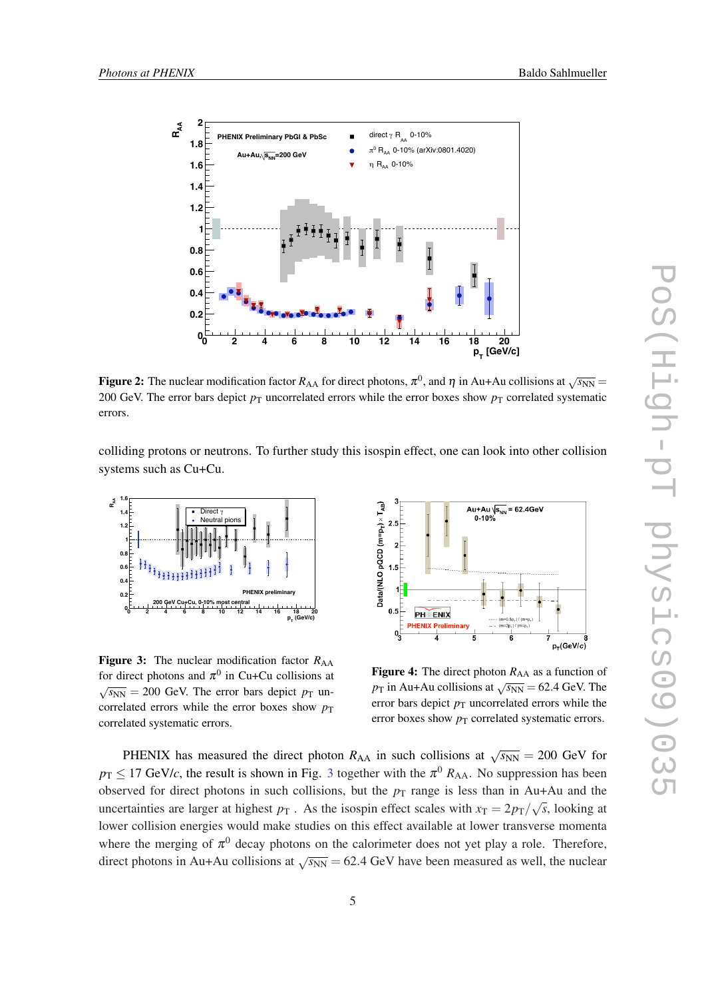<span id="page-4-0"></span>

Figure 2: The nuclear modification factor  $R_{AA}$  for direct photons,  $\pi^0$ , and  $\eta$  in Au+Au collisions at  $\sqrt{s_{NN}}$  = 200 GeV. The error bars depict  $p_T$  uncorrelated errors while the error boxes show  $p_T$  correlated systematic errors.

colliding protons or neutrons. To further study this isospin effect, one can look into other collision systems such as Cu+Cu.



**Figure 3:** The nuclear modification factor  $R_{AA}$ for direct photons and  $\pi^0$  in Cu+Cu collisions at  $\sqrt{s_{NN}}$  = 200 GeV. The error bars depict  $p_{\text{T}}$  uncorrelated errors while the error boxes show  $p_T$ correlated systematic errors.



Figure 4: The direct photon  $R_{AA}$  as a function of *p*<sub>T</sub> in Au+Au collisions at  $\sqrt{s_{NN}}$  = 62.4 GeV. The error bars depict  $p<sub>T</sub>$  uncorrelated errors while the error boxes show  $p<sub>T</sub>$  correlated systematic errors.

PHENIX has measured the direct photon  $R_{AA}$  in such collisions at  $\sqrt{s_{NN}} = 200$  GeV for  $p_T \le 17$  GeV/*c*, the result is shown in Fig. 3 together with the  $\pi^0$   $R_{AA}$ . No suppression has been observed for direct photons in such collisions, but the  $p_T$  range is less than in Au+Au and the uncertainties are larger at highest  $p<sub>T</sub>$ . As the isospin effect scales with  $x<sub>T</sub> = 2p<sub>T</sub>/\sqrt{s}$ , looking at lower collision energies would make studies on this effect available at lower transverse momenta where the merging of  $\pi^0$  decay photons on the calorimeter does not yet play a role. Therefore, direct photons in Au+Au collisions at  $\sqrt{s_{NN}}$  = 62.4 GeV have been measured as well, the nuclear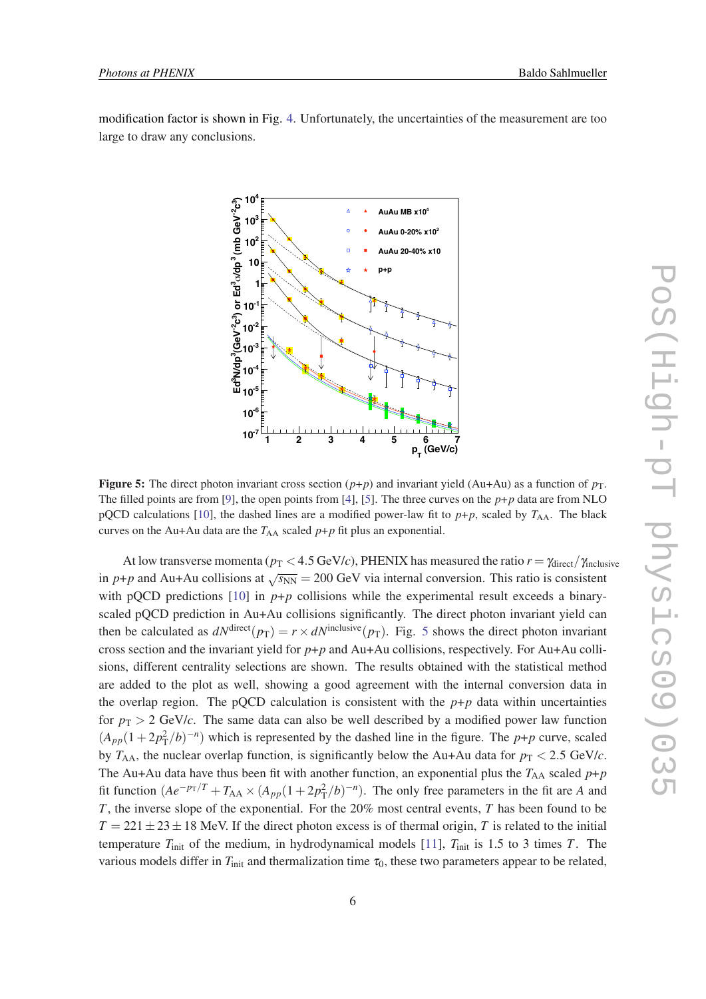modification factor is shown in Fig. [4](#page-4-0). Unfortunately, the uncertainties of the measurement are too large to draw any conclusions.



**Figure 5:** The direct photon invariant cross section  $(p+p)$  and invariant yield (Au+Au) as a function of  $p_T$ . The filled points are from [\[9](#page-7-0)], the open points from [\[4](#page-7-0)], [[5\]](#page-7-0). The three curves on the *p*+*p* data are from NLO pQCD calculations [[10\]](#page-7-0), the dashed lines are a modified power-law fit to  $p+p$ , scaled by  $T_{AA}$ . The black curves on the Au+Au data are the  $T_{AA}$  scaled  $p+p$  fit plus an exponential.

At low transverse momenta ( $p_T < 4.5$  GeV/*c*), PHENIX has measured the ratio  $r = \gamma_{\text{direct}}/\gamma_{\text{inclusive}}$ in *p*+*p* and Au+Au collisions at  $\sqrt{s_{NN}}$  = 200 GeV via internal conversion. This ratio is consistent with pQCD predictions  $[10]$  $[10]$  in  $p+p$  collisions while the experimental result exceeds a binaryscaled pQCD prediction in Au+Au collisions significantly. The direct photon invariant yield can then be calculated as  $dN^{\text{direct}}(p_T) = r \times dN^{\text{inclusive}}(p_T)$ . Fig. 5 shows the direct photon invariant cross section and the invariant yield for *p*+*p* and Au+Au collisions, respectively. For Au+Au collisions, different centrality selections are shown. The results obtained with the statistical method are added to the plot as well, showing a good agreement with the internal conversion data in the overlap region. The pQCD calculation is consistent with the  $p+p$  data within uncertainties for  $p_T > 2$  GeV/*c*. The same data can also be well described by a modified power law function  $(A_{pp}(1+2p_T^2/b)^{-n})$  which is represented by the dashed line in the figure. The *p*+*p* curve, scaled by  $T_{AA}$ , the nuclear overlap function, is significantly below the Au+Au data for  $p_T < 2.5$  GeV/*c*. The Au+Au data have thus been fit with another function, an exponential plus the  $T_{AA}$  scaled  $p+p$ fit function  $(Ae^{-p_T/T} + T_{AA} \times (A_{pp}(1 + 2p_T^2/b)^{-n})$ . The only free parameters in the fit are *A* and *T*, the inverse slope of the exponential. For the 20% most central events, *T* has been found to be  $T = 221 \pm 23 \pm 18$  MeV. If the direct photon excess is of thermal origin, *T* is related to the initial temperature  $T_{\text{init}}$  of the medium, in hydrodynamical models [\[11](#page-7-0)],  $T_{\text{init}}$  is 1.5 to 3 times *T*. The various models differ in  $T_{\text{init}}$  and thermalization time  $\tau_0$ , these two parameters appear to be related,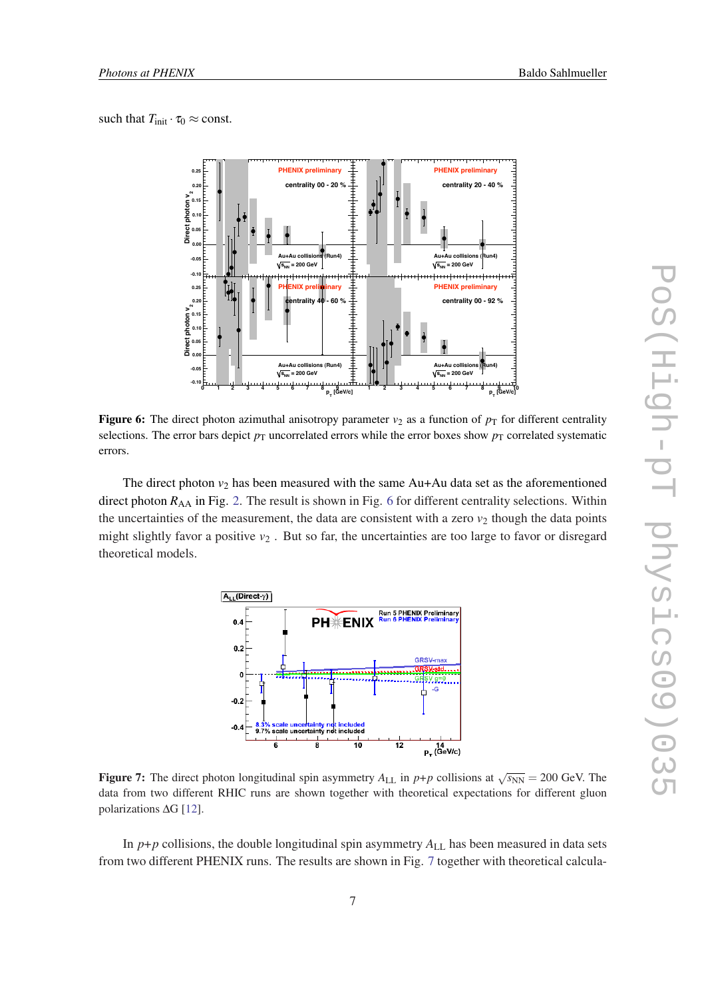such that  $T_{\text{init}} \cdot \tau_0 \approx \text{const.}$ 



Figure 6: The direct photon azimuthal anisotropy parameter  $v_2$  as a function of  $p_T$  for different centrality selections. The error bars depict  $p<sub>T</sub>$  uncorrelated errors while the error boxes show  $p<sub>T</sub>$  correlated systematic errors.

The direct photon  $v_2$  has been measured with the same  $Au+Au$  data set as the aforementioned direct photon  $R_{AA}$  in Fig. [2.](#page-4-0) The result is shown in Fig. 6 for different centrality selections. Within the uncertainties of the measurement, the data are consistent with a zero  $v_2$  though the data points might slightly favor a positive  $v_2$ . But so far, the uncertainties are too large to favor or disregard theoretical models.



**Figure 7:** The direct photon longitudinal spin asymmetry  $A_{LL}$  in  $p+p$  collisions at  $\sqrt{s_{NN}} = 200$  GeV. The data from two different RHIC runs are shown together with theoretical expectations for different gluon polarizations ∆G [\[12](#page-7-0)].

In  $p+p$  collisions, the double longitudinal spin asymmetry  $A_{LL}$  has been measured in data sets from two different PHENIX runs. The results are shown in Fig. 7 together with theoretical calcula